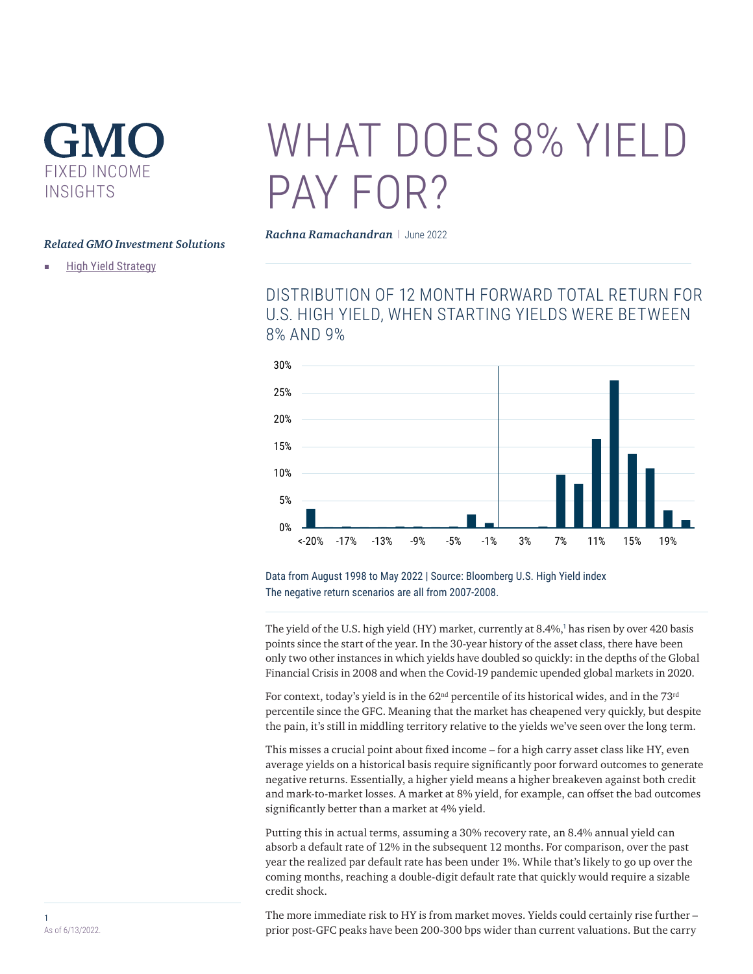# GMO FIXED INCOME INSIGHTS

### *Related GMO Investment Solution[s](https://www.gmo.com/americas/product-index-page/fixed-income/high-yield-strategy/)*

■ [High Yield Strategy](https://www.gmo.com/americas/product-index-page/fixed-income/high-yield-strategy/)

# WHAT DOES 8% YIFI D PAY FOR?

*Rachna Ramachandran* | June 2022

DISTRIBUTION OF 12 MONTH FORWARD TOTAL RETURN FOR U.S. HIGH YIELD, WHEN STARTING YIELDS WERE BETWEEN 8% AND 9%



Data from August 1998 to May 2022 | Source: Bloomberg U.S. High Yield index The negative return scenarios are all from 2007-2008.

The yield of the U.S. high yield (HY) market, currently at 8.4%,<sup>1</sup> has risen by over 420 basis points since the start of the year. In the 30-year history of the asset class, there have been only two other instances in which yields have doubled so quickly: in the depths of the Global Financial Crisis in 2008 and when the Covid-19 pandemic upended global markets in 2020.

For context, today's yield is in the 62<sup>nd</sup> percentile of its historical wides, and in the 73<sup>rd</sup> percentile since the GFC. Meaning that the market has cheapened very quickly, but despite the pain, it's still in middling territory relative to the yields we've seen over the long term.

This misses a crucial point about fixed income – for a high carry asset class like HY, even average yields on a historical basis require significantly poor forward outcomes to generate negative returns. Essentially, a higher yield means a higher breakeven against both credit and mark-to-market losses. A market at 8% yield, for example, can offset the bad outcomes significantly better than a market at 4% yield.

Putting this in actual terms, assuming a 30% recovery rate, an 8.4% annual yield can absorb a default rate of 12% in the subsequent 12 months. For comparison, over the past year the realized par default rate has been under 1%. While that's likely to go up over the coming months, reaching a double-digit default rate that quickly would require a sizable credit shock.

The more immediate risk to HY is from market moves. Yields could certainly rise further – prior post-GFC peaks have been 200-300 bps wider than current valuations. But the carry